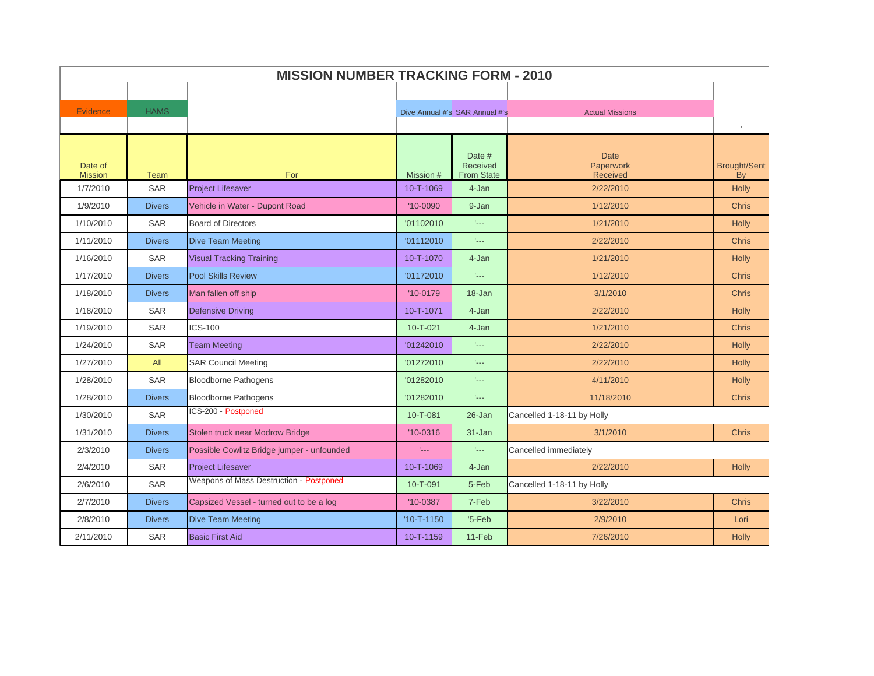|                           | <b>MISSION NUMBER TRACKING FORM - 2010</b> |                                            |                  |                                         |                                             |                                              |  |  |
|---------------------------|--------------------------------------------|--------------------------------------------|------------------|-----------------------------------------|---------------------------------------------|----------------------------------------------|--|--|
|                           |                                            |                                            |                  |                                         |                                             |                                              |  |  |
| <b>Evidence</b>           | <b>HAMS</b>                                |                                            |                  | Dive Annual #'s SAR Annual #'s          | <b>Actual Missions</b>                      |                                              |  |  |
|                           |                                            |                                            |                  |                                         |                                             |                                              |  |  |
| Date of<br><b>Mission</b> | <b>Team</b>                                | For                                        | Mission #        | Date #<br>Received<br><b>From State</b> | <b>Date</b><br>Paperwork<br><b>Received</b> | <b>Brought/Sent</b><br><b>B</b> <sub>v</sub> |  |  |
| 1/7/2010                  | <b>SAR</b>                                 | <b>Project Lifesaver</b>                   | 10-T-1069        | 4-Jan                                   | 2/22/2010                                   | <b>Holly</b>                                 |  |  |
| 1/9/2010                  | <b>Divers</b>                              | Vehicle in Water - Dupont Road             | $'10 - 0090$     | 9-Jan                                   | 1/12/2010                                   | <b>Chris</b>                                 |  |  |
| 1/10/2010                 | <b>SAR</b>                                 | <b>Board of Directors</b>                  | '01102010        | $\mathbb{L}_{++}$                       | 1/21/2010                                   | <b>Holly</b>                                 |  |  |
| 1/11/2010                 | <b>Divers</b>                              | <b>Dive Team Meeting</b>                   | '01112010        | tille.                                  | 2/22/2010                                   | <b>Chris</b>                                 |  |  |
| 1/16/2010                 | <b>SAR</b>                                 | <b>Visual Tracking Training</b>            | 10-T-1070        | 4-Jan                                   | 1/21/2010                                   | Holly                                        |  |  |
| 1/17/2010                 | <b>Divers</b>                              | <b>Pool Skills Review</b>                  | '01172010        | taal.                                   | 1/12/2010                                   | <b>Chris</b>                                 |  |  |
| 1/18/2010                 | <b>Divers</b>                              | Man fallen off ship                        | $'10-0179$       | $18 - Jan$                              | 3/1/2010                                    | <b>Chris</b>                                 |  |  |
| 1/18/2010                 | <b>SAR</b>                                 | <b>Defensive Driving</b>                   | 10-T-1071        | 4-Jan                                   | 2/22/2010                                   | <b>Holly</b>                                 |  |  |
| 1/19/2010                 | <b>SAR</b>                                 | <b>ICS-100</b>                             | $10 - T - 021$   | 4-Jan                                   | 1/21/2010                                   | <b>Chris</b>                                 |  |  |
| 1/24/2010                 | <b>SAR</b>                                 | <b>Team Meeting</b>                        | '01242010        | time.                                   | 2/22/2010                                   | <b>Holly</b>                                 |  |  |
| 1/27/2010                 | All                                        | <b>SAR Council Meeting</b>                 | '01272010        | $L_{\rm max}$                           | 2/22/2010                                   | <b>Holly</b>                                 |  |  |
| 1/28/2010                 | <b>SAR</b>                                 | <b>Bloodborne Pathogens</b>                | '01282010        | u.                                      | 4/11/2010                                   | <b>Holly</b>                                 |  |  |
| 1/28/2010                 | <b>Divers</b>                              | <b>Bloodborne Pathogens</b>                | '01282010        | ulli                                    | 11/18/2010                                  | <b>Chris</b>                                 |  |  |
| 1/30/2010                 | <b>SAR</b>                                 | ICS-200 - Postponed                        | 10-T-081         | 26-Jan                                  | Cancelled 1-18-11 by Holly                  |                                              |  |  |
| 1/31/2010                 | <b>Divers</b>                              | Stolen truck near Modrow Bridge            | $'10-0316$       | $31 - Jan$                              | 3/1/2010                                    | <b>Chris</b>                                 |  |  |
| 2/3/2010                  | <b>Divers</b>                              | Possible Cowlitz Bridge jumper - unfounded | t <sub>an</sub>  | t <sub>an</sub>                         | Cancelled immediately                       |                                              |  |  |
| 2/4/2010                  | <b>SAR</b>                                 | <b>Project Lifesaver</b>                   | 10-T-1069        | 4-Jan                                   | 2/22/2010                                   | <b>Holly</b>                                 |  |  |
| 2/6/2010                  | <b>SAR</b>                                 | Weapons of Mass Destruction - Postponed    | 10-T-091         | 5-Feb                                   | Cancelled 1-18-11 by Holly                  |                                              |  |  |
| 2/7/2010                  | <b>Divers</b>                              | Capsized Vessel - turned out to be a log   | $'10-0387$       | 7-Feb                                   | 3/22/2010                                   | <b>Chris</b>                                 |  |  |
| 2/8/2010                  | <b>Divers</b>                              | <b>Dive Team Meeting</b>                   | $'10 - T - 1150$ | $5-Feb$                                 | 2/9/2010                                    | Lori                                         |  |  |
| 2/11/2010                 | <b>SAR</b>                                 | <b>Basic First Aid</b>                     | 10-T-1159        | 11-Feb                                  | 7/26/2010                                   | <b>Holly</b>                                 |  |  |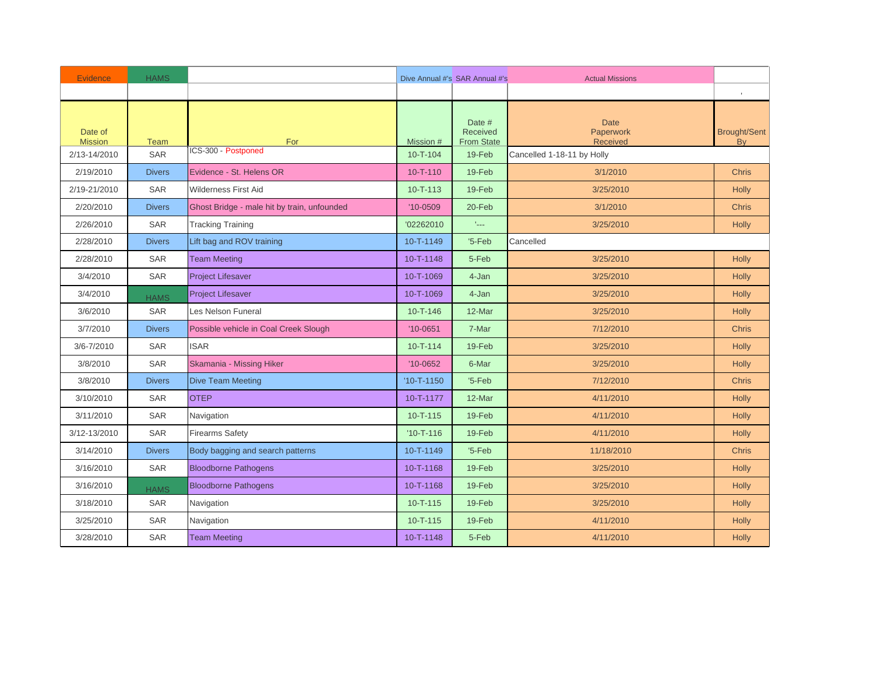| <b>Evidence</b>           | <b>HAMS</b>   |                                             |                  | Dive Annual #'s SAR Annual #'s          | <b>Actual Missions</b>               |                                  |
|---------------------------|---------------|---------------------------------------------|------------------|-----------------------------------------|--------------------------------------|----------------------------------|
|                           |               |                                             |                  |                                         |                                      |                                  |
| Date of<br><b>Mission</b> | Team          | For                                         | Mission #        | Date #<br>Received<br><b>From State</b> | <b>Date</b><br>Paperwork<br>Received | <b>Brought/Sent</b><br><b>Bv</b> |
| 2/13-14/2010              | <b>SAR</b>    | ICS-300 - Postponed                         | $10 - T - 104$   | 19-Feb                                  | Cancelled 1-18-11 by Holly           |                                  |
| 2/19/2010                 | <b>Divers</b> | Evidence - St. Helens OR                    | $10 - T - 110$   | 19-Feb                                  | 3/1/2010                             | <b>Chris</b>                     |
| 2/19-21/2010              | <b>SAR</b>    | <b>Wilderness First Aid</b>                 | $10 - T - 113$   | 19-Feb                                  | 3/25/2010                            | <b>Holly</b>                     |
| 2/20/2010                 | <b>Divers</b> | Ghost Bridge - male hit by train, unfounded | $'10-0509$       | 20-Feb                                  | 3/1/2010                             | <b>Chris</b>                     |
| 2/26/2010                 | <b>SAR</b>    | <b>Tracking Training</b>                    | '02262010        | $\mathbb{L}_{\text{max}}$               | 3/25/2010                            | <b>Holly</b>                     |
| 2/28/2010                 | <b>Divers</b> | Lift bag and ROV training                   | 10-T-1149        | $5-Feb$                                 | Cancelled                            |                                  |
| 2/28/2010                 | <b>SAR</b>    | <b>Team Meeting</b>                         | 10-T-1148        | 5-Feb                                   | 3/25/2010                            | <b>Holly</b>                     |
| 3/4/2010                  | <b>SAR</b>    | <b>Project Lifesaver</b>                    | 10-T-1069        | 4-Jan                                   | 3/25/2010                            | <b>Holly</b>                     |
| 3/4/2010                  | <b>HAMS</b>   | <b>Project Lifesaver</b>                    | 10-T-1069        | 4-Jan                                   | 3/25/2010                            | Holly                            |
| 3/6/2010                  | <b>SAR</b>    | Les Nelson Funeral                          | $10 - T - 146$   | 12-Mar                                  | 3/25/2010                            | <b>Holly</b>                     |
| 3/7/2010                  | <b>Divers</b> | Possible vehicle in Coal Creek Slough       | $'10-0651$       | 7-Mar                                   | 7/12/2010                            | <b>Chris</b>                     |
| 3/6-7/2010                | <b>SAR</b>    | <b>ISAR</b>                                 | $10 - T - 114$   | 19-Feb                                  | 3/25/2010                            | <b>Holly</b>                     |
| 3/8/2010                  | <b>SAR</b>    | Skamania - Missing Hiker                    | $'10-0652$       | 6-Mar                                   | 3/25/2010                            | <b>Holly</b>                     |
| 3/8/2010                  | <b>Divers</b> | <b>Dive Team Meeting</b>                    | $'10 - T - 1150$ | $5-Feb$                                 | 7/12/2010                            | <b>Chris</b>                     |
| 3/10/2010                 | <b>SAR</b>    | <b>OTEP</b>                                 | 10-T-1177        | 12-Mar                                  | 4/11/2010                            | <b>Holly</b>                     |
| 3/11/2010                 | <b>SAR</b>    | Navigation                                  | $10 - T - 115$   | 19-Feb                                  | 4/11/2010                            | Holly                            |
| 3/12-13/2010              | <b>SAR</b>    | <b>Firearms Safety</b>                      | $'10 - T - 116$  | 19-Feb                                  | 4/11/2010                            | <b>Holly</b>                     |
| 3/14/2010                 | <b>Divers</b> | Body bagging and search patterns            | 10-T-1149        | $5-Feb$                                 | 11/18/2010                           | <b>Chris</b>                     |
| 3/16/2010                 | <b>SAR</b>    | <b>Bloodborne Pathogens</b>                 | 10-T-1168        | 19-Feb                                  | 3/25/2010                            | <b>Holly</b>                     |
| 3/16/2010                 | <b>HAMS</b>   | <b>Bloodborne Pathogens</b>                 | 10-T-1168        | 19-Feb                                  | 3/25/2010                            | <b>Holly</b>                     |
| 3/18/2010                 | <b>SAR</b>    | Navigation                                  | $10 - T - 115$   | 19-Feb                                  | 3/25/2010                            | <b>Holly</b>                     |
| 3/25/2010                 | <b>SAR</b>    | Navigation                                  | $10 - T - 115$   | 19-Feb                                  | 4/11/2010                            | <b>Holly</b>                     |
| 3/28/2010                 | <b>SAR</b>    | <b>Team Meeting</b>                         | 10-T-1148        | 5-Feb                                   | 4/11/2010                            | <b>Holly</b>                     |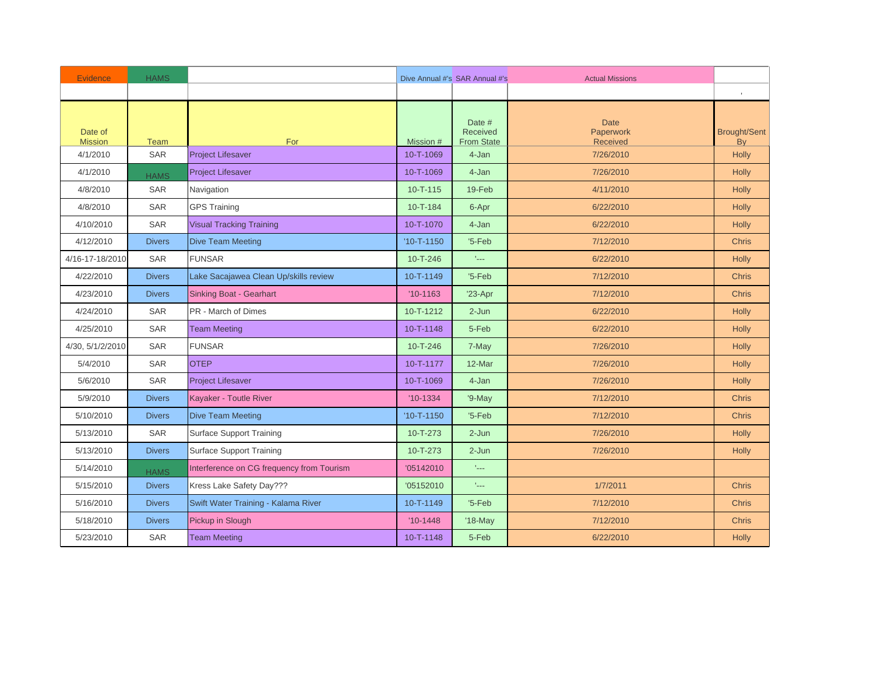| <b>Evidence</b>           | <b>HAMS</b>   |                                           |                  | Dive Annual #'s SAR Annual #'s          | <b>Actual Missions</b>                      |                           |
|---------------------------|---------------|-------------------------------------------|------------------|-----------------------------------------|---------------------------------------------|---------------------------|
|                           |               |                                           |                  |                                         |                                             |                           |
| Date of<br><b>Mission</b> | <b>Team</b>   | For                                       | Mission #        | Date #<br>Received<br><b>From State</b> | <b>Date</b><br>Paperwork<br><b>Received</b> | <b>Brought/Sent</b><br>By |
| 4/1/2010                  | <b>SAR</b>    | <b>Project Lifesaver</b>                  | 10-T-1069        | 4-Jan                                   | 7/26/2010                                   | Holly                     |
| 4/1/2010                  | <b>HAMS</b>   | <b>Project Lifesaver</b>                  | 10-T-1069        | 4-Jan                                   | 7/26/2010                                   | Holly                     |
| 4/8/2010                  | <b>SAR</b>    | Navigation                                | $10 - T - 115$   | 19-Feb                                  | 4/11/2010                                   | <b>Holly</b>              |
| 4/8/2010                  | <b>SAR</b>    | <b>GPS Training</b>                       | 10-T-184         | 6-Apr                                   | 6/22/2010                                   | <b>Holly</b>              |
| 4/10/2010                 | <b>SAR</b>    | <b>Visual Tracking Training</b>           | 10-T-1070        | 4-Jan                                   | 6/22/2010                                   | Holly                     |
| 4/12/2010                 | <b>Divers</b> | <b>Dive Team Meeting</b>                  | $'10 - T - 1150$ | $5-Feb$                                 | 7/12/2010                                   | <b>Chris</b>              |
| 4/16-17-18/2010           | <b>SAR</b>    | <b>FUNSAR</b>                             | 10-T-246         | tale.                                   | 6/22/2010                                   | <b>Holly</b>              |
| 4/22/2010                 | <b>Divers</b> | Lake Sacajawea Clean Up/skills review     | 10-T-1149        | $5-Feb$                                 | 7/12/2010                                   | <b>Chris</b>              |
| 4/23/2010                 | <b>Divers</b> | <b>Sinking Boat - Gearhart</b>            | $'10-1163$       | $'23-Apr$                               | 7/12/2010                                   | <b>Chris</b>              |
| 4/24/2010                 | <b>SAR</b>    | PR - March of Dimes                       | 10-T-1212        | $2 - Jun$                               | 6/22/2010                                   | <b>Holly</b>              |
| 4/25/2010                 | <b>SAR</b>    | <b>Team Meeting</b>                       | 10-T-1148        | 5-Feb                                   | 6/22/2010                                   | <b>Holly</b>              |
| 4/30, 5/1/2/2010          | <b>SAR</b>    | <b>FUNSAR</b>                             | $10 - T - 246$   | 7-May                                   | 7/26/2010                                   | Holly                     |
| 5/4/2010                  | <b>SAR</b>    | <b>OTEP</b>                               | 10-T-1177        | 12-Mar                                  | 7/26/2010                                   | <b>Holly</b>              |
| 5/6/2010                  | <b>SAR</b>    | <b>Project Lifesaver</b>                  | 10-T-1069        | 4-Jan                                   | 7/26/2010                                   | <b>Holly</b>              |
| 5/9/2010                  | <b>Divers</b> | Kayaker - Toutle River                    | $'10-1334$       | '9-May                                  | 7/12/2010                                   | <b>Chris</b>              |
| 5/10/2010                 | <b>Divers</b> | <b>Dive Team Meeting</b>                  | $'10 - T - 1150$ | $5-Feb$                                 | 7/12/2010                                   | Chris                     |
| 5/13/2010                 | <b>SAR</b>    | <b>Surface Support Training</b>           | $10 - T - 273$   | $2-Jun$                                 | 7/26/2010                                   | <b>Holly</b>              |
| 5/13/2010                 | <b>Divers</b> | Surface Support Training                  | 10-T-273         | $2 - Jun$                               | 7/26/2010                                   | <b>Holly</b>              |
| 5/14/2010                 | <b>HAMS</b>   | Interference on CG frequency from Tourism | '05142010        | taal.                                   |                                             |                           |
| 5/15/2010                 | <b>Divers</b> | Kress Lake Safety Day???                  | '05152010        | taal.                                   | 1/7/2011                                    | <b>Chris</b>              |
| 5/16/2010                 | <b>Divers</b> | Swift Water Training - Kalama River       | 10-T-1149        | $5-Feb$                                 | 7/12/2010                                   | <b>Chris</b>              |
| 5/18/2010                 | <b>Divers</b> | Pickup in Slough                          | $'10-1448$       | $'18-May$                               | 7/12/2010                                   | <b>Chris</b>              |
| 5/23/2010                 | <b>SAR</b>    | <b>Team Meeting</b>                       | 10-T-1148        | 5-Feb                                   | 6/22/2010                                   | <b>Holly</b>              |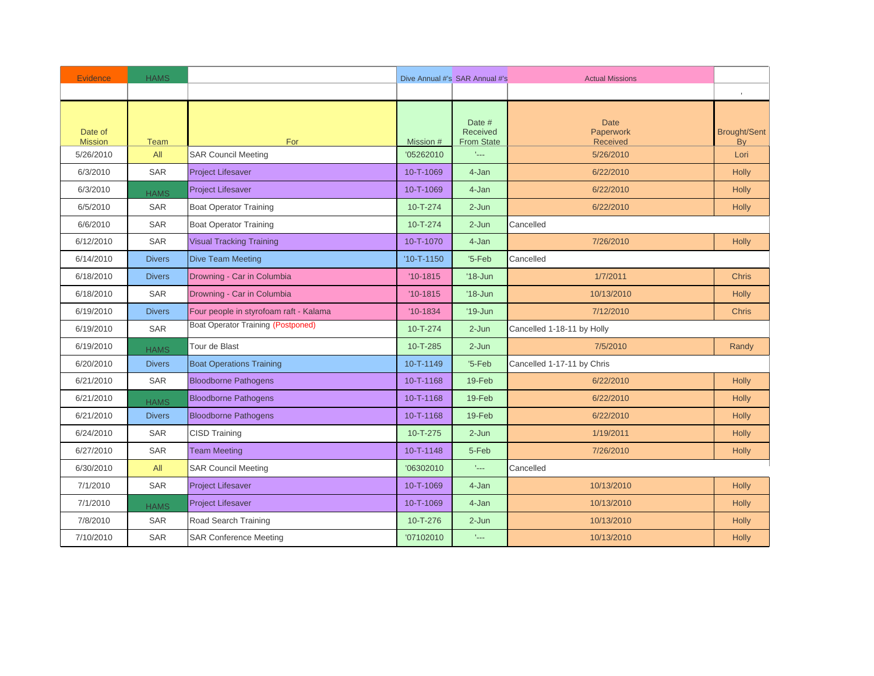| <b>Evidence</b>           | <b>HAMS</b>   |                                           |                  | Dive Annual #'s SAR Annual #'s          | <b>Actual Missions</b>                      |                           |
|---------------------------|---------------|-------------------------------------------|------------------|-----------------------------------------|---------------------------------------------|---------------------------|
|                           |               |                                           |                  |                                         |                                             |                           |
| Date of<br><b>Mission</b> | Team          | For                                       | Mission #        | Date #<br>Received<br><b>From State</b> | <b>Date</b><br>Paperwork<br><b>Received</b> | <b>Brought/Sent</b><br>By |
| 5/26/2010                 | All           | <b>SAR Council Meeting</b>                | '05262010        | t <sub>an</sub>                         | 5/26/2010                                   | Lori                      |
| 6/3/2010                  | <b>SAR</b>    | <b>Project Lifesaver</b>                  | 10-T-1069        | 4-Jan                                   | 6/22/2010                                   | Holly                     |
| 6/3/2010                  | <b>HAMS</b>   | <b>Project Lifesaver</b>                  | 10-T-1069        | 4-Jan                                   | 6/22/2010                                   | <b>Holly</b>              |
| 6/5/2010                  | <b>SAR</b>    | <b>Boat Operator Training</b>             | $10 - T - 274$   | $2 - Jun$                               | 6/22/2010                                   | <b>Holly</b>              |
| 6/6/2010                  | <b>SAR</b>    | <b>Boat Operator Training</b>             | 10-T-274         | $2-Jun$                                 | Cancelled                                   |                           |
| 6/12/2010                 | <b>SAR</b>    | <b>Visual Tracking Training</b>           | 10-T-1070        | 4-Jan                                   | 7/26/2010                                   | <b>Holly</b>              |
| 6/14/2010                 | <b>Divers</b> | <b>Dive Team Meeting</b>                  | $'10 - T - 1150$ | $5-Feb$                                 | Cancelled                                   |                           |
| 6/18/2010                 | <b>Divers</b> | Drowning - Car in Columbia                | $'10-1815$       | $'18 - Jun$                             | 1/7/2011                                    | <b>Chris</b>              |
| 6/18/2010                 | <b>SAR</b>    | Drowning - Car in Columbia                | $'10-1815$       | $'18$ -Jun                              | 10/13/2010                                  | Holly                     |
| 6/19/2010                 | <b>Divers</b> | Four people in styrofoam raft - Kalama    | $'10-1834$       | $'19$ -Jun                              | 7/12/2010                                   | <b>Chris</b>              |
| 6/19/2010                 | <b>SAR</b>    | <b>Boat Operator Training (Postponed)</b> | $10 - T - 274$   | $2-Jun$                                 | Cancelled 1-18-11 by Holly                  |                           |
| 6/19/2010                 | <b>HAMS</b>   | Tour de Blast                             | 10-T-285         | $2-Jun$                                 | 7/5/2010                                    | Randy                     |
| 6/20/2010                 | <b>Divers</b> | <b>Boat Operations Training</b>           | 10-T-1149        | $5-Feb$                                 | Cancelled 1-17-11 by Chris                  |                           |
| 6/21/2010                 | <b>SAR</b>    | <b>Bloodborne Pathogens</b>               | 10-T-1168        | 19-Feb                                  | 6/22/2010                                   | <b>Holly</b>              |
| 6/21/2010                 | <b>HAMS</b>   | <b>Bloodborne Pathogens</b>               | 10-T-1168        | 19-Feb                                  | 6/22/2010                                   | <b>Holly</b>              |
| 6/21/2010                 | <b>Divers</b> | <b>Bloodborne Pathogens</b>               | 10-T-1168        | 19-Feb                                  | 6/22/2010                                   | <b>Holly</b>              |
| 6/24/2010                 | <b>SAR</b>    | <b>CISD Training</b>                      | $10 - T - 275$   | $2 - Jun$                               | 1/19/2011                                   | <b>Holly</b>              |
| 6/27/2010                 | <b>SAR</b>    | <b>Team Meeting</b>                       | 10-T-1148        | 5-Feb                                   | 7/26/2010                                   | <b>Holly</b>              |
| 6/30/2010                 | All           | <b>SAR Council Meeting</b>                | '06302010        | taal.                                   | Cancelled                                   |                           |
| 7/1/2010                  | <b>SAR</b>    | <b>Project Lifesaver</b>                  | 10-T-1069        | 4-Jan                                   | 10/13/2010                                  | <b>Holly</b>              |
| 7/1/2010                  | <b>HAMS</b>   | <b>Project Lifesaver</b>                  | 10-T-1069        | 4-Jan                                   | 10/13/2010                                  | <b>Holly</b>              |
| 7/8/2010                  | <b>SAR</b>    | Road Search Training                      | 10-T-276         | $2-Jun$                                 | 10/13/2010                                  | Holly                     |
| 7/10/2010                 | <b>SAR</b>    | <b>SAR Conference Meeting</b>             | '07102010        | $\mathbb{L}_{\text{max}}$               | 10/13/2010                                  | <b>Holly</b>              |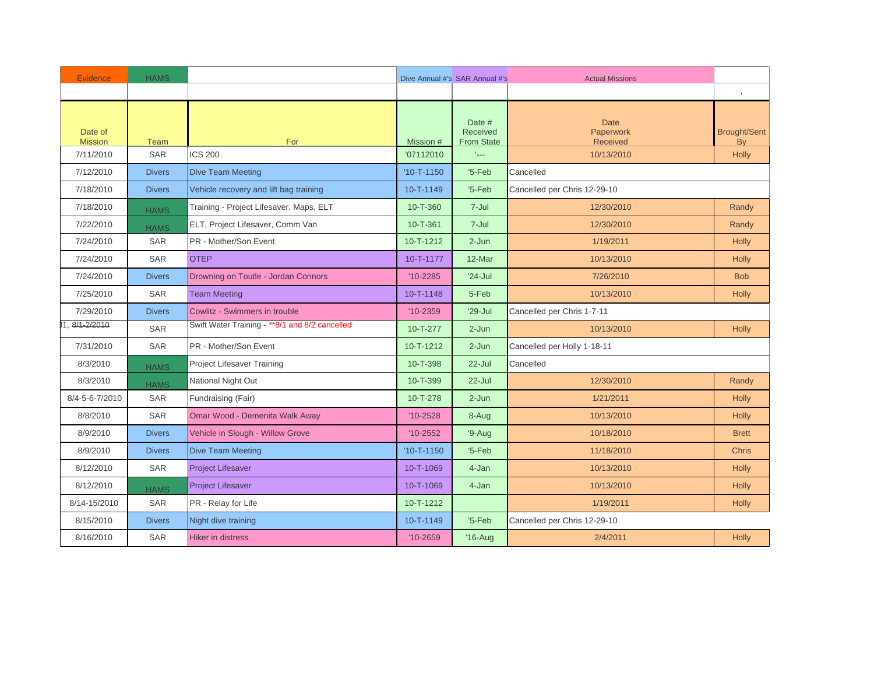| <b>Evidence</b>           | <b>HAMS</b>   |                                                 |                  | Dive Annual #'s SAR Annual #'s                 | <b>Actual Missions</b>                      |                           |
|---------------------------|---------------|-------------------------------------------------|------------------|------------------------------------------------|---------------------------------------------|---------------------------|
|                           |               |                                                 |                  |                                                |                                             | $\,$                      |
| Date of<br><b>Mission</b> | <b>Team</b>   | For                                             | Mission #        | Date #<br><b>Received</b><br><b>From State</b> | <b>Date</b><br>Paperwork<br><b>Received</b> | <b>Brought/Sent</b><br>By |
| 7/11/2010                 | <b>SAR</b>    | <b>ICS 200</b>                                  | '07112010        | $L_{\rm max}$                                  | 10/13/2010                                  | <b>Holly</b>              |
| 7/12/2010                 | <b>Divers</b> | <b>Dive Team Meeting</b>                        | $'10 - T - 1150$ | $5-Feb$                                        | Cancelled                                   |                           |
| 7/18/2010                 | <b>Divers</b> | Vehicle recovery and lift bag training          | 10-T-1149        | $5-Feb$                                        | Cancelled per Chris 12-29-10                |                           |
| 7/18/2010                 | <b>HAMS</b>   | Training - Project Lifesaver, Maps, ELT         | 10-T-360         | 7-Jul                                          | 12/30/2010                                  | Randy                     |
| 7/22/2010                 | <b>HAMS</b>   | ELT, Project Lifesaver, Comm Van                | $10 - T - 361$   | 7-Jul                                          | 12/30/2010                                  | Randy                     |
| 7/24/2010                 | <b>SAR</b>    | PR - Mother/Son Event                           | 10-T-1212        | $2-Jun$                                        | 1/19/2011                                   | <b>Holly</b>              |
| 7/24/2010                 | <b>SAR</b>    | <b>OTEP</b>                                     | 10-T-1177        | 12-Mar                                         | 10/13/2010                                  | <b>Holly</b>              |
| 7/24/2010                 | <b>Divers</b> | Drowning on Toutle - Jordan Connors             | $'10 - 2285$     | $'24-Jul$                                      | 7/26/2010                                   | <b>Bob</b>                |
| 7/25/2010                 | SAR           | <b>Team Meeting</b>                             | 10-T-1148        | 5-Feb                                          | 10/13/2010                                  | Holly                     |
| 7/29/2010                 | <b>Divers</b> | Cowlitz - Swimmers in trouble                   | $'10 - 2359$     | $'29-Jul$                                      | Cancelled per Chris 1-7-11                  |                           |
| 8/1-2/2010                | <b>SAR</b>    | Swift Water Training - ** 8/1 and 8/2 cancelled | 10-T-277         | $2-Jun$                                        | 10/13/2010                                  | Holly                     |
| 7/31/2010                 | <b>SAR</b>    | PR - Mother/Son Event                           | 10-T-1212        | $2-Jun$                                        | Cancelled per Holly 1-18-11                 |                           |
| 8/3/2010                  | <b>HAMS</b>   | Project Lifesaver Training                      | 10-T-398         | $22 -$ Jul                                     | Cancelled                                   |                           |
| 8/3/2010                  | <b>HAMS</b>   | National Night Out                              | 10-T-399         | $22 -$ Jul                                     | 12/30/2010                                  | Randy                     |
| 8/4-5-6-7/2010            | <b>SAR</b>    | Fundraising (Fair)                              | 10-T-278         | $2 - Jun$                                      | 1/21/2011                                   | <b>Holly</b>              |
| 8/8/2010                  | SAR           | Omar Wood - Demenita Walk Away                  | $'10-2528$       | 8-Aug                                          | 10/13/2010                                  | Holly                     |
| 8/9/2010                  | <b>Divers</b> | Vehicle in Slough - Willow Grove                | $'10 - 2552$     | $9-Auq$                                        | 10/18/2010                                  | <b>Brett</b>              |
| 8/9/2010                  | <b>Divers</b> | <b>Dive Team Meeting</b>                        | $'10 - T - 1150$ | $5-Feb$                                        | 11/18/2010                                  | <b>Chris</b>              |
| 8/12/2010                 | <b>SAR</b>    | <b>Project Lifesaver</b>                        | 10-T-1069        | 4-Jan                                          | 10/13/2010                                  | <b>Holly</b>              |
| 8/12/2010                 | <b>HAMS</b>   | <b>Project Lifesaver</b>                        | 10-T-1069        | 4-Jan                                          | 10/13/2010                                  | Holly                     |
| 8/14-15/2010              | SAR           | PR - Relay for Life                             | 10-T-1212        |                                                | 1/19/2011                                   | <b>Holly</b>              |
| 8/15/2010                 | <b>Divers</b> | Night dive training                             | 10-T-1149        | $5-Feb$                                        | Cancelled per Chris 12-29-10                |                           |
| 8/16/2010                 | SAR           | <b>Hiker in distress</b>                        | $'10 - 2659$     | $'16$ -Aug                                     | 2/4/2011                                    | <b>Holly</b>              |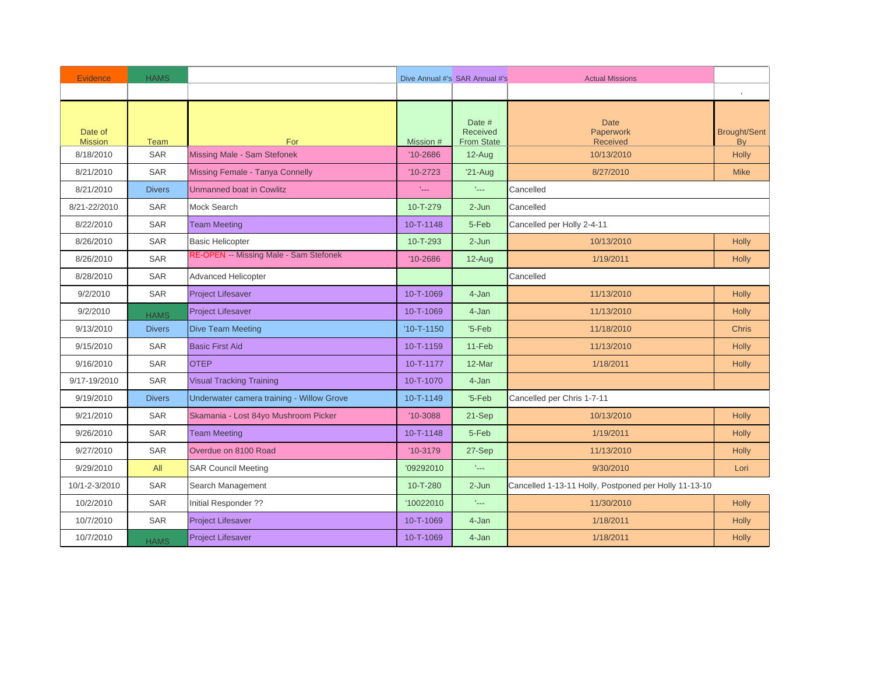| <b>Evidence</b>           | <b>HAMS</b>   |                                           |                           | Dive Annual #'s SAR Annual #'s          | <b>Actual Missions</b>                                |                           |
|---------------------------|---------------|-------------------------------------------|---------------------------|-----------------------------------------|-------------------------------------------------------|---------------------------|
|                           |               |                                           |                           |                                         |                                                       |                           |
| Date of<br><b>Mission</b> | Team          | For                                       | Mission #                 | Date #<br>Received<br><b>From State</b> | <b>Date</b><br>Paperwork<br><b>Received</b>           | <b>Brought/Sent</b><br>By |
| 8/18/2010                 | <b>SAR</b>    | Missing Male - Sam Stefonek               | $'10 - 2686$              | $12-Auq$                                | 10/13/2010                                            | <b>Holly</b>              |
| 8/21/2010                 | <b>SAR</b>    | Missing Female - Tanya Connelly           | $'10-2723$                | $'21$ -Aug                              | 8/27/2010                                             | <b>Mike</b>               |
| 8/21/2010                 | <b>Divers</b> | <b>Unmanned boat in Cowlitz</b>           | $\mathbb{L}_{\text{max}}$ | falls.                                  | Cancelled                                             |                           |
| 8/21-22/2010              | <b>SAR</b>    | Mock Search                               | $10 - T - 279$            | $2 - Jun$                               | Cancelled                                             |                           |
| 8/22/2010                 | <b>SAR</b>    | <b>Team Meeting</b>                       | 10-T-1148                 | 5-Feb                                   | Cancelled per Holly 2-4-11                            |                           |
| 8/26/2010                 | <b>SAR</b>    | <b>Basic Helicopter</b>                   | 10-T-293                  | $2-Jun$                                 | 10/13/2010                                            | <b>Holly</b>              |
| 8/26/2010                 | <b>SAR</b>    | RE-OPEN -- Missing Male - Sam Stefonek    | $'10 - 2686$              | 12-Aug                                  | 1/19/2011                                             | <b>Holly</b>              |
| 8/28/2010                 | <b>SAR</b>    | <b>Advanced Helicopter</b>                |                           |                                         | Cancelled                                             |                           |
| 9/2/2010                  | <b>SAR</b>    | <b>Project Lifesaver</b>                  | 10-T-1069                 | 4-Jan                                   | 11/13/2010                                            | Holly                     |
| 9/2/2010                  | <b>HAMS</b>   | <b>Project Lifesaver</b>                  | 10-T-1069                 | 4-Jan                                   | 11/13/2010                                            | <b>Holly</b>              |
| 9/13/2010                 | <b>Divers</b> | <b>Dive Team Meeting</b>                  | $'10 - T - 1150$          | $5-Feb$                                 | 11/18/2010                                            | <b>Chris</b>              |
| 9/15/2010                 | <b>SAR</b>    | <b>Basic First Aid</b>                    | 10-T-1159                 | 11-Feb                                  | 11/13/2010                                            | Holly                     |
| 9/16/2010                 | <b>SAR</b>    | <b>OTEP</b>                               | 10-T-1177                 | 12-Mar                                  | 1/18/2011                                             | <b>Holly</b>              |
| 9/17-19/2010              | <b>SAR</b>    | <b>Visual Tracking Training</b>           | 10-T-1070                 | 4-Jan                                   |                                                       |                           |
| 9/19/2010                 | <b>Divers</b> | Underwater camera training - Willow Grove | 10-T-1149                 | $5-Feb$                                 | Cancelled per Chris 1-7-11                            |                           |
| 9/21/2010                 | <b>SAR</b>    | Skamania - Lost 84yo Mushroom Picker      | $'10-3088$                | 21-Sep                                  | 10/13/2010                                            | <b>Holly</b>              |
| 9/26/2010                 | <b>SAR</b>    | <b>Team Meeting</b>                       | 10-T-1148                 | 5-Feb                                   | 1/19/2011                                             | <b>Holly</b>              |
| 9/27/2010                 | <b>SAR</b>    | Overdue on 8100 Road                      | $'10-3179$                | 27-Sep                                  | 11/13/2010                                            | Holly                     |
| 9/29/2010                 | All           | <b>SAR Council Meeting</b>                | '09292010                 | tale.                                   | 9/30/2010                                             | Lori                      |
| 10/1-2-3/2010             | <b>SAR</b>    | Search Management                         | 10-T-280                  | $2-Jun$                                 | Cancelled 1-13-11 Holly, Postponed per Holly 11-13-10 |                           |
| 10/2/2010                 | <b>SAR</b>    | Initial Responder ??                      | '10022010                 | tale.                                   | 11/30/2010                                            | <b>Holly</b>              |
| 10/7/2010                 | <b>SAR</b>    | <b>Project Lifesaver</b>                  | 10-T-1069                 | 4-Jan                                   | 1/18/2011                                             | <b>Holly</b>              |
| 10/7/2010                 | <b>HAMS</b>   | <b>Project Lifesaver</b>                  | 10-T-1069                 | 4-Jan                                   | 1/18/2011                                             | Holly                     |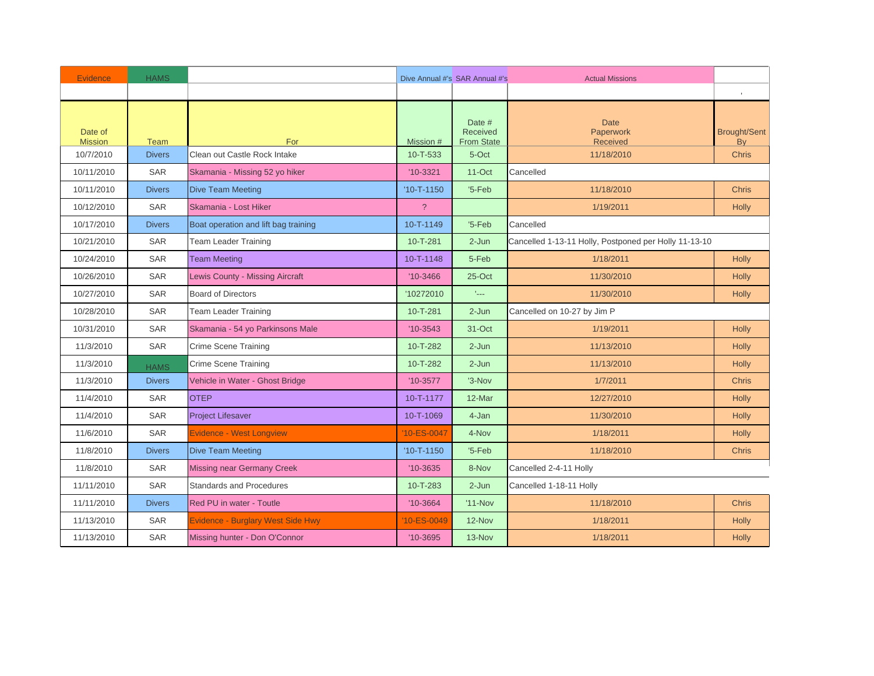| <b>Evidence</b>           | <b>HAMS</b>   |                                          |                  | Dive Annual #'s SAR Annual #'s          | <b>Actual Missions</b>                                |                                  |
|---------------------------|---------------|------------------------------------------|------------------|-----------------------------------------|-------------------------------------------------------|----------------------------------|
|                           |               |                                          |                  |                                         |                                                       |                                  |
| Date of<br><b>Mission</b> | <b>Team</b>   | For                                      | Mission #        | Date #<br>Received<br><b>From State</b> | <b>Date</b><br>Paperwork<br>Received                  | <b>Brought/Sent</b><br><b>By</b> |
| 10/7/2010                 | <b>Divers</b> | Clean out Castle Rock Intake             | 10-T-533         | 5-Oct                                   | 11/18/2010                                            | <b>Chris</b>                     |
| 10/11/2010                | <b>SAR</b>    | Skamania - Missing 52 yo hiker           | $'10-3321$       | $11$ -Oct                               | Cancelled                                             |                                  |
| 10/11/2010                | <b>Divers</b> | <b>Dive Team Meeting</b>                 | $'10 - T - 1150$ | $5-Feb$                                 | 11/18/2010                                            | <b>Chris</b>                     |
| 10/12/2010                | <b>SAR</b>    | Skamania - Lost Hiker                    | $\overline{?}$   |                                         | 1/19/2011                                             | <b>Holly</b>                     |
| 10/17/2010                | <b>Divers</b> | Boat operation and lift bag training     | 10-T-1149        | $5-Feb$                                 | Cancelled                                             |                                  |
| 10/21/2010                | <b>SAR</b>    | <b>Team Leader Training</b>              | 10-T-281         | $2-Jun$                                 | Cancelled 1-13-11 Holly, Postponed per Holly 11-13-10 |                                  |
| 10/24/2010                | <b>SAR</b>    | <b>Team Meeting</b>                      | 10-T-1148        | 5-Feb                                   | 1/18/2011                                             | <b>Holly</b>                     |
| 10/26/2010                | <b>SAR</b>    | Lewis County - Missing Aircraft          | $'10-3466$       | $25$ -Oct                               | 11/30/2010                                            | <b>Holly</b>                     |
| 10/27/2010                | <b>SAR</b>    | <b>Board of Directors</b>                | '10272010        | tale.                                   | 11/30/2010                                            | Holly                            |
| 10/28/2010                | <b>SAR</b>    | Team Leader Training                     | 10-T-281         | $2-Jun$                                 | Cancelled on 10-27 by Jim P                           |                                  |
| 10/31/2010                | <b>SAR</b>    | Skamania - 54 yo Parkinsons Male         | $'10-3543$       | 31-Oct                                  | 1/19/2011                                             | Holly                            |
| 11/3/2010                 | <b>SAR</b>    | <b>Crime Scene Training</b>              | 10-T-282         | $2-Jun$                                 | 11/13/2010                                            | <b>Holly</b>                     |
| 11/3/2010                 | <b>HAMS</b>   | <b>Crime Scene Training</b>              | 10-T-282         | $2-Jun$                                 | 11/13/2010                                            | Holly                            |
| 11/3/2010                 | <b>Divers</b> | Vehicle in Water - Ghost Bridge          | $'10-3577$       | '3-Nov                                  | 1/7/2011                                              | <b>Chris</b>                     |
| 11/4/2010                 | <b>SAR</b>    | <b>OTEP</b>                              | 10-T-1177        | 12-Mar                                  | 12/27/2010                                            | <b>Holly</b>                     |
| 11/4/2010                 | <b>SAR</b>    | <b>Project Lifesaver</b>                 | 10-T-1069        | 4-Jan                                   | 11/30/2010                                            | <b>Holly</b>                     |
| 11/6/2010                 | <b>SAR</b>    | <b>Evidence - West Longview</b>          | '10-ES-0047      | 4-Nov                                   | 1/18/2011                                             | <b>Holly</b>                     |
| 11/8/2010                 | <b>Divers</b> | <b>Dive Team Meeting</b>                 | $'10 - T - 1150$ | $5-Feb$                                 | 11/18/2010                                            | <b>Chris</b>                     |
| 11/8/2010                 | <b>SAR</b>    | <b>Missing near Germany Creek</b>        | $'10-3635$       | 8-Nov                                   | Cancelled 2-4-11 Holly                                |                                  |
| 11/11/2010                | <b>SAR</b>    | Standards and Procedures                 | 10-T-283         | $2-Jun$                                 | Cancelled 1-18-11 Holly                               |                                  |
| 11/11/2010                | <b>Divers</b> | Red PU in water - Toutle                 | $'10-3664$       | $'11-Nov$                               | 11/18/2010                                            | <b>Chris</b>                     |
| 11/13/2010                | <b>SAR</b>    | <b>Evidence - Burglary West Side Hwy</b> | 10-ES-0049       | 12-Nov                                  | 1/18/2011                                             | <b>Holly</b>                     |
| 11/13/2010                | <b>SAR</b>    | Missing hunter - Don O'Connor            | $'10-3695$       | 13-Nov                                  | 1/18/2011                                             | Holly                            |